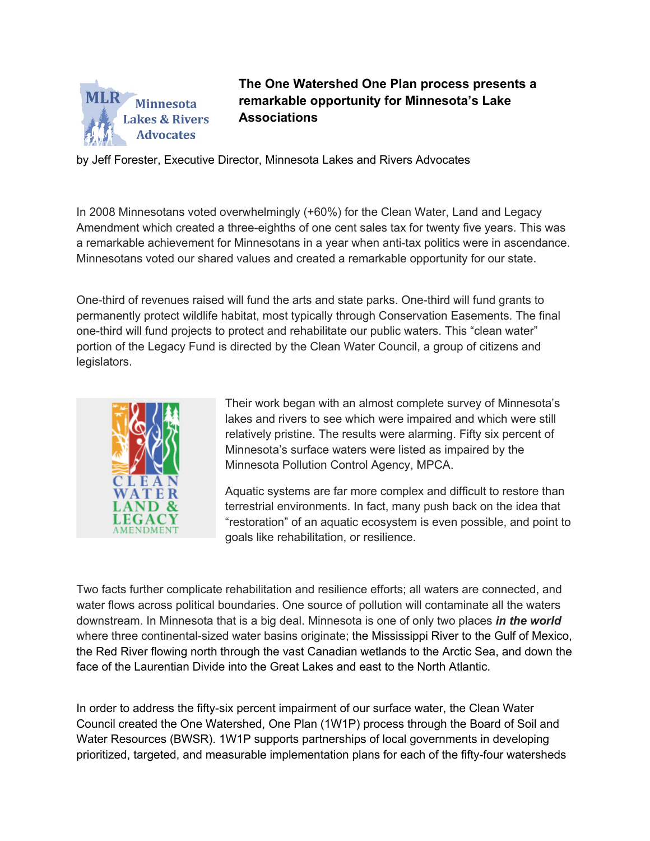

**The One Watershed One Plan process presents a remarkable opportunity for Minnesota's Lake Associations** 

by Jeff Forester, Executive Director, Minnesota Lakes and Rivers Advocates

In 2008 Minnesotans voted overwhelmingly (+60%) for the Clean Water, Land and Legacy Amendment which created a three-eighths of one cent sales tax for twenty five years. This was a remarkable achievement for Minnesotans in a year when anti-tax politics were in ascendance. Minnesotans voted our shared values and created a remarkable opportunity for our state.

One-third of revenues raised will fund the arts and state parks. One-third will fund grants to permanently protect wildlife habitat, most typically through Conservation Easements. The final one-third will fund projects to protect and rehabilitate our public waters. This "clean water" portion of the Legacy Fund is directed by the Clean Water Council, a group of citizens and legislators.



Their work began with an almost complete survey of Minnesota's lakes and rivers to see which were impaired and which were still relatively pristine. The results were alarming. Fifty six percent of Minnesota's surface waters were listed as impaired by the Minnesota Pollution Control Agency, MPCA.

Aquatic systems are far more complex and difficult to restore than terrestrial environments. In fact, many push back on the idea that "restoration" of an aquatic ecosystem is even possible, and point to goals like rehabilitation, or resilience.

Two facts further complicate rehabilitation and resilience efforts; all waters are connected, and water flows across political boundaries. One source of pollution will contaminate all the waters downstream. In Minnesota that is a big deal. Minnesota is one of only two places *in the world* where three continental-sized water basins originate; the Mississippi River to the Gulf of Mexico, the Red River flowing north through the vast Canadian wetlands to the Arctic Sea, and down the face of the Laurentian Divide into the Great Lakes and east to the North Atlantic.

In order to address the fifty-six percent impairment of our surface water, the Clean Water Council created the One Watershed, One Plan (1W1P) process through the Board of Soil and Water Resources (BWSR). 1W1P supports partnerships of local governments in developing prioritized, targeted, and measurable implementation plans for each of the fifty-four watersheds